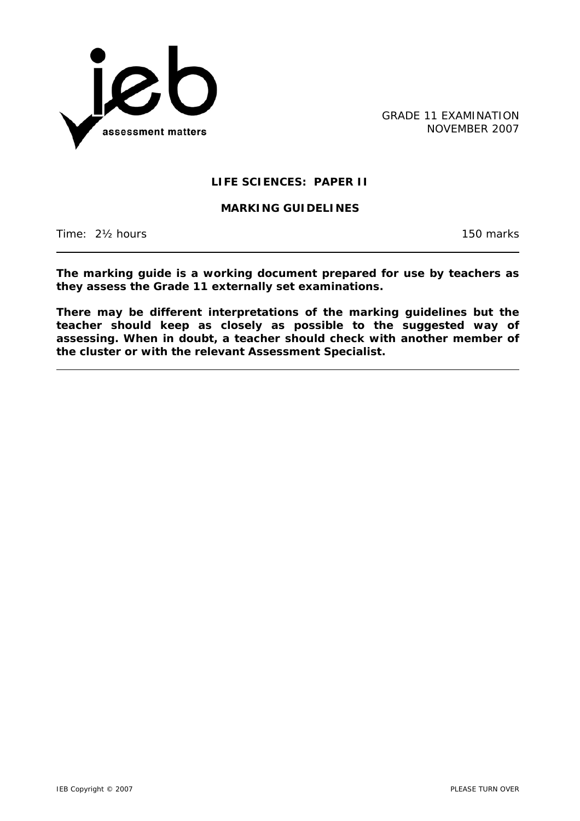

GRADE 11 EXAMINATION NOVEMBER 2007

# **LIFE SCIENCES: PAPER II**

#### **MARKING GUIDELINES**

Time: 2<sup>1</sup>/<sub>2</sub> hours 150 marks

**The marking guide is a working document prepared for use by teachers as they assess the Grade 11 externally set examinations.** 

**There may be different interpretations of the marking guidelines but the teacher should keep as closely as possible to the suggested way of assessing. When in doubt, a teacher should check with another member of the cluster or with the relevant Assessment Specialist.**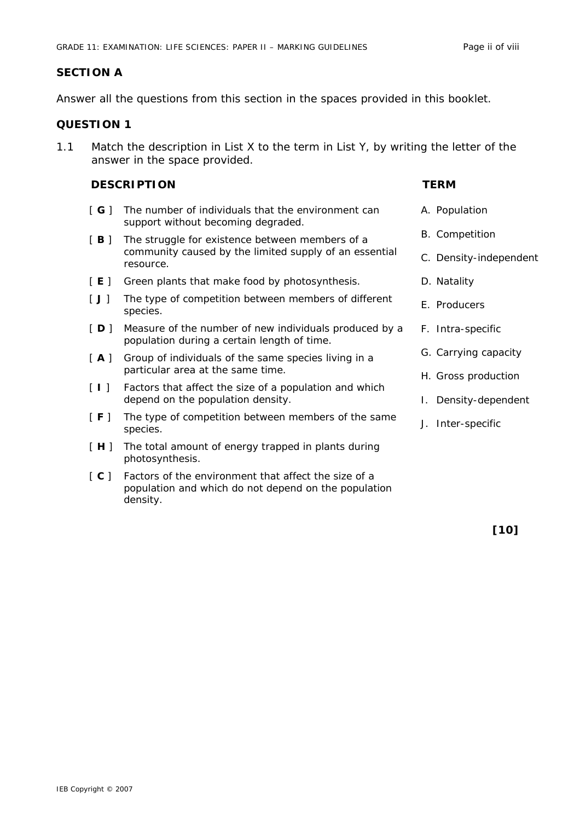# **SECTION A**

Answer all the questions from this section in the spaces provided in this booklet.

# **QUESTION 1**

1.1 Match the description in List X to the term in List Y, by writing the letter of the answer in the space provided.

### **DESCRIPTION TERM**

- [ **G** ] The number of individuals that the environment can support without becoming degraded.
- [B] The struggle for existence between members of a community caused by the limited supply of an essential resource.
- [ **E** ] Green plants that make food by photosynthesis.
- [ **J** ] The type of competition between members of different species.
- [ $\mathsf{D}$ ] Measure of the number of new individuals produced by a population during a certain length of time.
- [A] Group of individuals of the same species living in a particular area at the same time.
- [ **I** ] Factors that affect the size of a population and which depend on the population density.
- [ **F** ] The type of competition between members of the same species.
- [ **H** ] The total amount of energy trapped in plants during photosynthesis.
- [ **C** ] Factors of the environment that affect the size of a population and which do not depend on the population density.

A. Population

B. Competition C. Density-independent

D. Natality

E. Producers

- F. Intra-specific
- G. Carrying capacity
- H. Gross production
- I. Density-dependent
- J. Inter-specific

**[10]**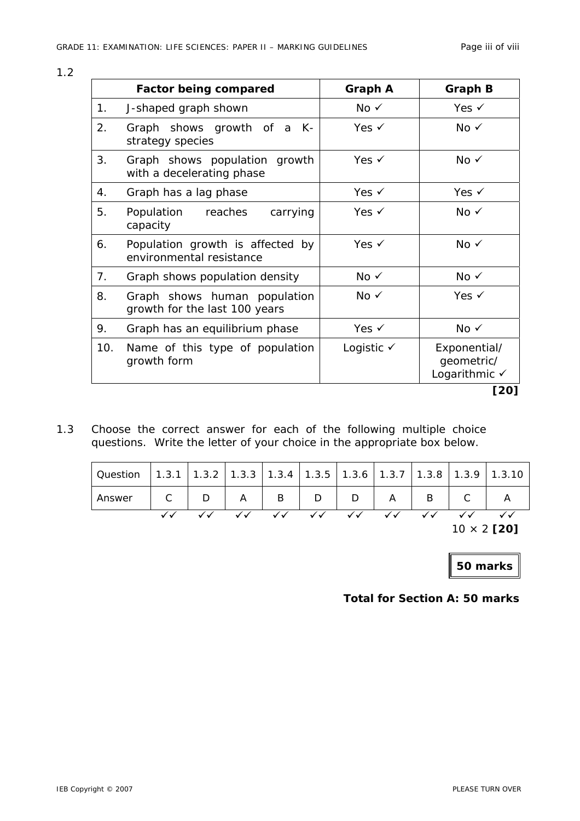|     | <b>Factor being compared</b>                                  | <b>Graph A</b>        | <b>Graph B</b>                              |
|-----|---------------------------------------------------------------|-----------------------|---------------------------------------------|
| 1.  | J-shaped graph shown                                          | No $\checkmark$       | Yes $\checkmark$                            |
| 2.  | Graph shows growth of a K-<br>strategy species                | Yes $\checkmark$      | $No \checkmark$                             |
| 3.  | Graph shows population growth<br>with a decelerating phase    | Yes $\checkmark$      | $No \checkmark$                             |
| 4.  | Graph has a lag phase                                         | Yes $\checkmark$      | Yes $\checkmark$                            |
| 5.  | Population<br>reaches<br>carrying<br>capacity                 | Yes $\checkmark$      | $No \checkmark$                             |
| 6.  | Population growth is affected by<br>environmental resistance  | Yes $\checkmark$      | $No \checkmark$                             |
| 7.  | Graph shows population density                                | No $\checkmark$       | $No \checkmark$                             |
| 8.  | Graph shows human population<br>growth for the last 100 years | $No \checkmark$       | Yes $\checkmark$                            |
| 9.  | Graph has an equilibrium phase                                | Yes $\checkmark$      | No $\checkmark$                             |
| 10. | Name of this type of population<br>growth form                | Logistic $\checkmark$ | Exponential/<br>geometric/<br>Logarithmic √ |

1.3 Choose the correct answer for each of the following multiple choice questions. Write the letter of your choice in the appropriate box below.

|          |   |                |   |                        |                   |                        |              | $10 \times 2$ [20] |                                                                                |
|----------|---|----------------|---|------------------------|-------------------|------------------------|--------------|--------------------|--------------------------------------------------------------------------------|
|          |   |                |   | $\checkmark\checkmark$ | $\sqrt{\sqrt{2}}$ | $\checkmark\checkmark$ | $\checkmark$ | $\checkmark$       |                                                                                |
| Answer   | D | $\overline{A}$ | B | D                      | D                 |                        | B            |                    |                                                                                |
| Question |   |                |   |                        |                   |                        |              |                    | 1.3.1   1.3.2   1.3.3   1.3.4   1.3.5   1.3.6   1.3.7   1.3.8   1.3.9   1.3.10 |

**50 marks**

**Total for Section A: 50 marks**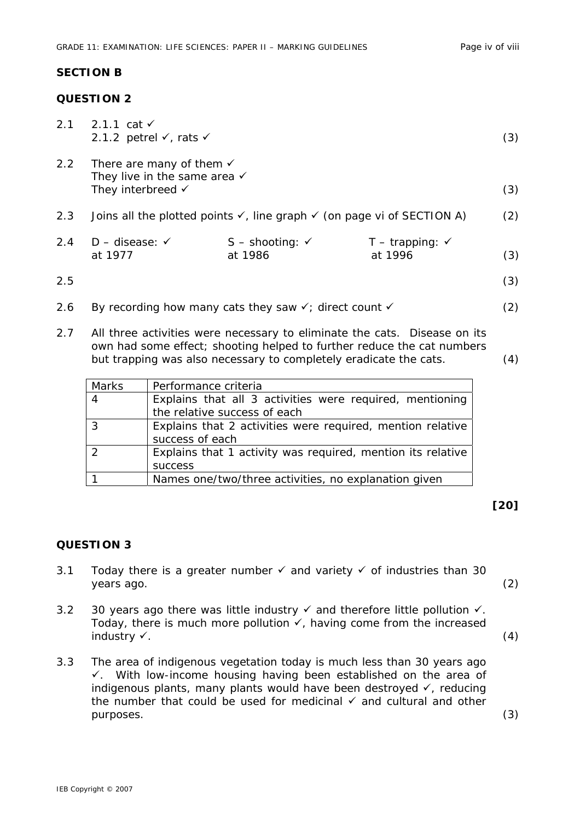#### **SECTION B**

# **QUESTION 2**

| 2.1 | 2.1.1 cat $\checkmark$<br>2.1.2 petrel $\checkmark$ , rats $\checkmark$                       |                                                                              |                              | (3) |
|-----|-----------------------------------------------------------------------------------------------|------------------------------------------------------------------------------|------------------------------|-----|
| 2.2 | There are many of them $\checkmark$<br>They live in the same area $\checkmark$                |                                                                              |                              |     |
|     | They interbreed $\checkmark$                                                                  |                                                                              |                              | (3) |
| 2.3 | Joins all the plotted points $\checkmark$ , line graph $\checkmark$ (on page vi of SECTION A) |                                                                              |                              |     |
| 2.4 | $D -$ disease: $\checkmark$                                                                   | $S -$ shooting: $\checkmark$                                                 | $T -$ trapping: $\checkmark$ |     |
|     | at 1977                                                                                       | at 1986                                                                      | at 1996                      | (3) |
| 2.5 |                                                                                               |                                                                              |                              | (3) |
| 2.6 |                                                                                               | By recording how many cats they saw $\checkmark$ ; direct count $\checkmark$ |                              | (2) |

2.7 All three activities were necessary to eliminate the cats. Disease on its own had some effect; shooting helped to further reduce the cat numbers but trapping was also necessary to completely eradicate the cats. (4)

| Marks          | Performance criteria                                        |  |  |
|----------------|-------------------------------------------------------------|--|--|
| -4             | Explains that all 3 activities were required, mentioning    |  |  |
|                | the relative success of each                                |  |  |
| $\overline{3}$ | Explains that 2 activities were required, mention relative  |  |  |
|                | success of each                                             |  |  |
| $\mathcal{P}$  | Explains that 1 activity was required, mention its relative |  |  |
|                | <b>SUCCESS</b>                                              |  |  |
|                | Names one/two/three activities, no explanation given        |  |  |

## **[20]**

#### **QUESTION 3**

- 3.1 Today there is a greater number  $\checkmark$  and variety  $\checkmark$  of industries than 30 years ago. (2)
- 3.2 30 years ago there was little industry  $\checkmark$  and therefore little pollution  $\checkmark$ . Today, there is much more pollution  $\checkmark$ , having come from the increased  $industry \checkmark$ . (4)
- 3.3 The area of indigenous vegetation today is much less than 30 years ago  $\checkmark$ . With low-income housing having been established on the area of indigenous plants, many plants would have been destroyed  $\checkmark$ , reducing the number that could be used for medicinal  $\checkmark$  and cultural and other purposes. (3)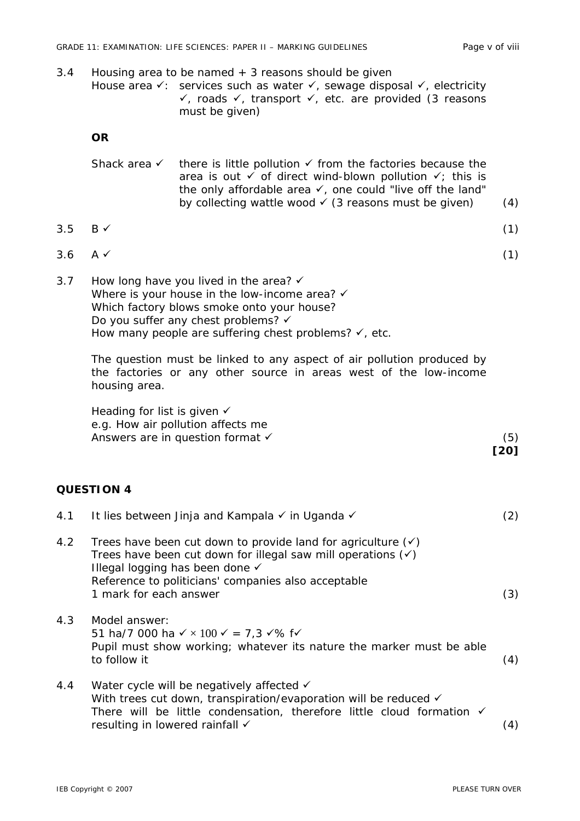3.4 *Housing area to be named* + *3 reasons should be given* 

|     |                                                                                                                                                                                                                                                      | House area $\checkmark$ : services such as water $\checkmark$ , sewage disposal $\checkmark$ , electricity<br>$\checkmark$ , roads $\checkmark$ , transport $\checkmark$ , etc. are provided (3 reasons<br>must be given)                                                                            |             |
|-----|------------------------------------------------------------------------------------------------------------------------------------------------------------------------------------------------------------------------------------------------------|------------------------------------------------------------------------------------------------------------------------------------------------------------------------------------------------------------------------------------------------------------------------------------------------------|-------------|
|     | <b>OR</b>                                                                                                                                                                                                                                            |                                                                                                                                                                                                                                                                                                      |             |
|     | Shack area √                                                                                                                                                                                                                                         | there is little pollution $\checkmark$ from the factories because the<br>area is out $\checkmark$ of direct wind-blown pollution $\checkmark$ ; this is<br>the only affordable area $\checkmark$ , one could "live off the land"<br>by collecting wattle wood $\checkmark$ (3 reasons must be given) | (4)         |
| 3.5 | $B \checkmark$                                                                                                                                                                                                                                       |                                                                                                                                                                                                                                                                                                      | (1)         |
| 3.6 | $A \checkmark$                                                                                                                                                                                                                                       |                                                                                                                                                                                                                                                                                                      | (1)         |
| 3.7 |                                                                                                                                                                                                                                                      | How long have you lived in the area? $\checkmark$<br>Where is your house in the low-income area? $\checkmark$<br>Which factory blows smoke onto your house?<br>Do you suffer any chest problems? √<br>How many people are suffering chest problems? $\checkmark$ , etc.                              |             |
|     | housing area.                                                                                                                                                                                                                                        | The question must be linked to any aspect of air pollution produced by<br>the factories or any other source in areas west of the low-income                                                                                                                                                          |             |
|     | Heading for list is given √                                                                                                                                                                                                                          | e.g. How air pollution affects me<br>Answers are in question format √                                                                                                                                                                                                                                | (5)<br>[20] |
|     | <b>QUESTION 4</b>                                                                                                                                                                                                                                    |                                                                                                                                                                                                                                                                                                      |             |
|     |                                                                                                                                                                                                                                                      | 4.1 It lies between Jinja and Kampala v in Uganda v                                                                                                                                                                                                                                                  | (2)         |
| 4.2 | Trees have been cut down to provide land for agriculture $(v)$<br>Trees have been cut down for illegal saw mill operations $(v)$<br>Illegal logging has been done √<br>Reference to politicians' companies also acceptable<br>1 mark for each answer |                                                                                                                                                                                                                                                                                                      | (3)         |
| 4.3 | Model answer:<br>to follow it                                                                                                                                                                                                                        | 51 ha/7 000 ha $\times$ 100 $\times$ = 7,3 $\times$ % f $\times$<br>Pupil must show working; whatever its nature the marker must be able                                                                                                                                                             | (4)         |
| 4.4 | resulting in lowered rainfall √                                                                                                                                                                                                                      | Water cycle will be negatively affected √<br>With trees cut down, transpiration/evaporation will be reduced $\checkmark$<br>There will be little condensation, therefore little cloud formation √                                                                                                    | (4)         |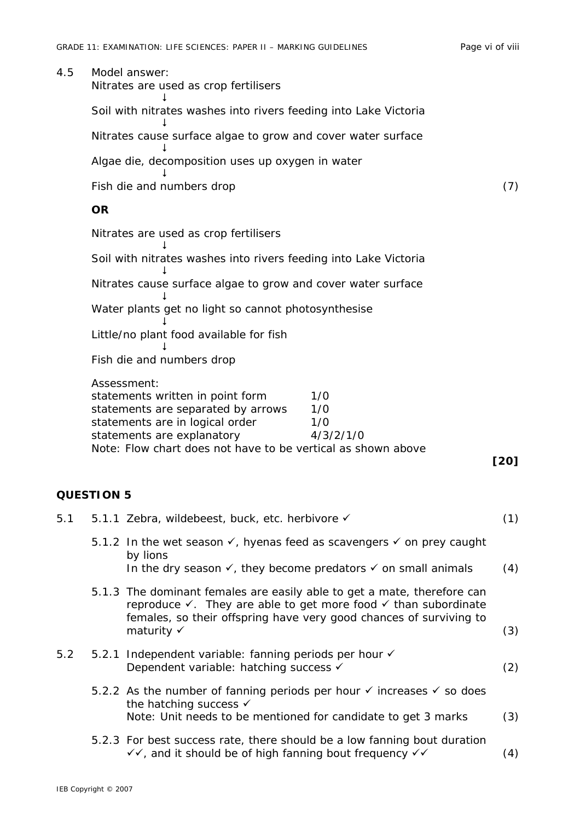#### 4.5 Model answer:

Nitrates are used as crop fertilisers<br> $\downarrow$ Soil with nitrates washes into rivers feeding into Lake Victoria  $\mathbf{I}$ Nitrates cause surface algae to grow and cover water surface  $\downarrow$ Algae die, decomposition uses up oxygen in water  $\downarrow$ Fish die and numbers drop (7) (7)

#### **OR**

 $\downarrow$ 

 $\downarrow$ 

 $\downarrow$ 

Nitrates are used as crop fertilisers

Soil with nitrates washes into rivers feeding into Lake Victoria

Nitrates cause surface algae to grow and cover water surface

 $\downarrow$ Water plants get no light so cannot photosynthesise

 $\downarrow$ Little/no plant food available for fish

Fish die and numbers drop

| Assessment:                                                  |           |
|--------------------------------------------------------------|-----------|
| statements written in point form                             | 1/O       |
| statements are separated by arrows                           | 1/O       |
| statements are in logical order                              | 1/O       |
| statements are explanatory                                   | 4/3/2/1/0 |
| Note: Flow chart does not have to be vertical as shown above |           |

**[20]** 

## **QUESTION 5**

| 5.1 | 5.1.1 Zebra, wildebeest, buck, etc. herbivore √                                                                                                                                                                                        | (1) |
|-----|----------------------------------------------------------------------------------------------------------------------------------------------------------------------------------------------------------------------------------------|-----|
|     | 5.1.2 In the wet season $\checkmark$ , hyenas feed as scavengers $\checkmark$ on prey caught<br>by lions                                                                                                                               |     |
|     | In the dry season $\checkmark$ , they become predators $\checkmark$ on small animals                                                                                                                                                   | (4) |
|     | 5.1.3 The dominant females are easily able to get a mate, therefore can<br>reproduce $\checkmark$ . They are able to get more food $\checkmark$ than subordinate<br>females, so their offspring have very good chances of surviving to |     |
|     | maturity $\checkmark$                                                                                                                                                                                                                  | (3) |
| 5.2 | 5.2.1 Independent variable: fanning periods per hour √<br>Dependent variable: hatching success √                                                                                                                                       | (2) |
|     | 5.2.2 As the number of fanning periods per hour $\checkmark$ increases $\checkmark$ so does<br>the hatching success $\checkmark$                                                                                                       |     |
|     | Note: Unit needs to be mentioned for candidate to get 3 marks                                                                                                                                                                          | (3) |
|     | 5.2.3 For best success rate, there should be a low fanning bout duration<br>√√, and it should be of high fanning bout frequency √√                                                                                                     | (4) |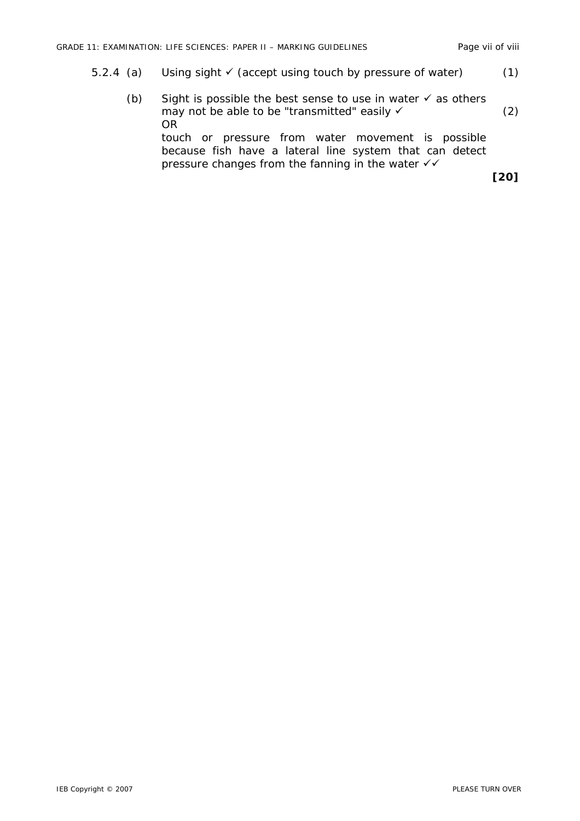- 5.2.4 (a) Using sight  $\checkmark$  (accept using touch by pressure of water) (1)
	- (b) Sight is possible the best sense to use in water  $\checkmark$  as others may not be able to be "transmitted" easily  $\checkmark$  (2) OR touch or pressure from water movement is possible because fish have a lateral line system that can detect pressure changes from the fanning in the water  $\checkmark\checkmark$ **[20]**